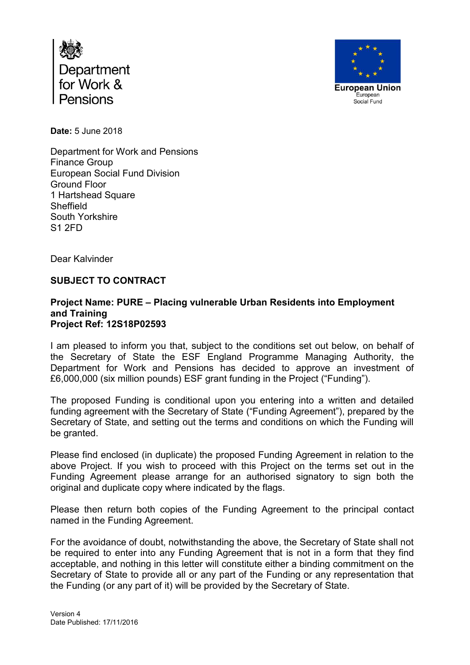



**Date:** 5 June 2018

Department for Work and Pensions Finance Group European Social Fund Division Ground Floor 1 Hartshead Square Sheffield South Yorkshire S1 2FD

Dear Kalvinder

## **SUBJECT TO CONTRACT**

## **Project Name: PURE – Placing vulnerable Urban Residents into Employment and Training Project Ref: 12S18P02593**

I am pleased to inform you that, subject to the conditions set out below, on behalf of the Secretary of State the ESF England Programme Managing Authority, the Department for Work and Pensions has decided to approve an investment of £6,000,000 (six million pounds) ESF grant funding in the Project ("Funding").

The proposed Funding is conditional upon you entering into a written and detailed funding agreement with the Secretary of State ("Funding Agreement"), prepared by the Secretary of State, and setting out the terms and conditions on which the Funding will be granted.

Please find enclosed (in duplicate) the proposed Funding Agreement in relation to the above Project. If you wish to proceed with this Project on the terms set out in the Funding Agreement please arrange for an authorised signatory to sign both the original and duplicate copy where indicated by the flags.

Please then return both copies of the Funding Agreement to the principal contact named in the Funding Agreement.

For the avoidance of doubt, notwithstanding the above, the Secretary of State shall not be required to enter into any Funding Agreement that is not in a form that they find acceptable, and nothing in this letter will constitute either a binding commitment on the Secretary of State to provide all or any part of the Funding or any representation that the Funding (or any part of it) will be provided by the Secretary of State.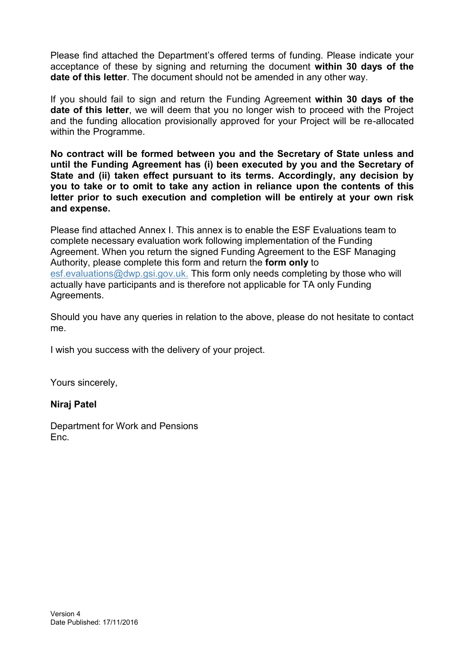Please find attached the Department's offered terms of funding. Please indicate your acceptance of these by signing and returning the document **within 30 days of the date of this letter**. The document should not be amended in any other way.

If you should fail to sign and return the Funding Agreement **within 30 days of the date of this letter**, we will deem that you no longer wish to proceed with the Project and the funding allocation provisionally approved for your Project will be re-allocated within the Programme.

**No contract will be formed between you and the Secretary of State unless and until the Funding Agreement has (i) been executed by you and the Secretary of State and (ii) taken effect pursuant to its terms. Accordingly, any decision by you to take or to omit to take any action in reliance upon the contents of this letter prior to such execution and completion will be entirely at your own risk and expense.** 

Please find attached Annex I. This annex is to enable the ESF Evaluations team to complete necessary evaluation work following implementation of the Funding Agreement. When you return the signed Funding Agreement to the ESF Managing Authority, please complete this form and return the **form only** to [esf.evaluations@dwp.gsi.gov.uk.](mailto:esf.evaluations@dwp.gsi.gov.uk) This form only needs completing by those who will actually have participants and is therefore not applicable for TA only Funding Agreements.

Should you have any queries in relation to the above, please do not hesitate to contact me.

I wish you success with the delivery of your project.

Yours sincerely,

## **Niraj Patel**

Department for Work and Pensions Enc.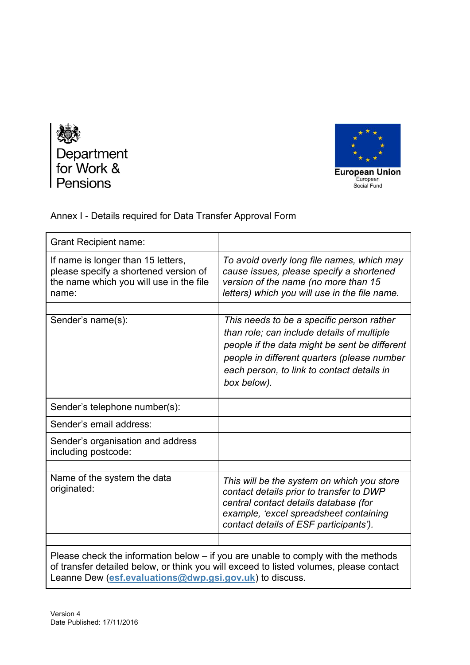



Annex I - Details required for Data Transfer Approval Form

| If name is longer than 15 letters,<br>To avoid overly long file names, which may<br>please specify a shortened version of<br>cause issues, please specify a shortened<br>the name which you will use in the file<br>version of the name (no more than 15<br>letters) which you will use in the file name.<br>name:<br>Sender's name(s):<br>This needs to be a specific person rather<br>than role; can include details of multiple<br>people if the data might be sent be different<br>people in different quarters (please number<br>each person, to link to contact details in<br>box below).<br>Sender's telephone number(s):<br>Sender's email address:<br>Sender's organisation and address<br>including postcode:<br>Name of the system the data<br>This will be the system on which you store<br>originated:<br>contact details prior to transfer to DWP<br>central contact details database (for<br>example, 'excel spreadsheet containing<br>contact details of ESF participants'). | <b>Grant Recipient name:</b> |  |
|----------------------------------------------------------------------------------------------------------------------------------------------------------------------------------------------------------------------------------------------------------------------------------------------------------------------------------------------------------------------------------------------------------------------------------------------------------------------------------------------------------------------------------------------------------------------------------------------------------------------------------------------------------------------------------------------------------------------------------------------------------------------------------------------------------------------------------------------------------------------------------------------------------------------------------------------------------------------------------------------|------------------------------|--|
|                                                                                                                                                                                                                                                                                                                                                                                                                                                                                                                                                                                                                                                                                                                                                                                                                                                                                                                                                                                              |                              |  |
|                                                                                                                                                                                                                                                                                                                                                                                                                                                                                                                                                                                                                                                                                                                                                                                                                                                                                                                                                                                              |                              |  |
|                                                                                                                                                                                                                                                                                                                                                                                                                                                                                                                                                                                                                                                                                                                                                                                                                                                                                                                                                                                              |                              |  |
|                                                                                                                                                                                                                                                                                                                                                                                                                                                                                                                                                                                                                                                                                                                                                                                                                                                                                                                                                                                              |                              |  |
|                                                                                                                                                                                                                                                                                                                                                                                                                                                                                                                                                                                                                                                                                                                                                                                                                                                                                                                                                                                              |                              |  |
|                                                                                                                                                                                                                                                                                                                                                                                                                                                                                                                                                                                                                                                                                                                                                                                                                                                                                                                                                                                              |                              |  |
|                                                                                                                                                                                                                                                                                                                                                                                                                                                                                                                                                                                                                                                                                                                                                                                                                                                                                                                                                                                              |                              |  |
|                                                                                                                                                                                                                                                                                                                                                                                                                                                                                                                                                                                                                                                                                                                                                                                                                                                                                                                                                                                              |                              |  |
|                                                                                                                                                                                                                                                                                                                                                                                                                                                                                                                                                                                                                                                                                                                                                                                                                                                                                                                                                                                              |                              |  |

Please check the information below – if you are unable to comply with the methods of transfer detailed below, or think you will exceed to listed volumes, please contact Leanne Dew (**[esf.evaluations@dwp.gsi.gov.uk](mailto:esf.evaluations@dwp.gsi.gov.uk)**) to discuss.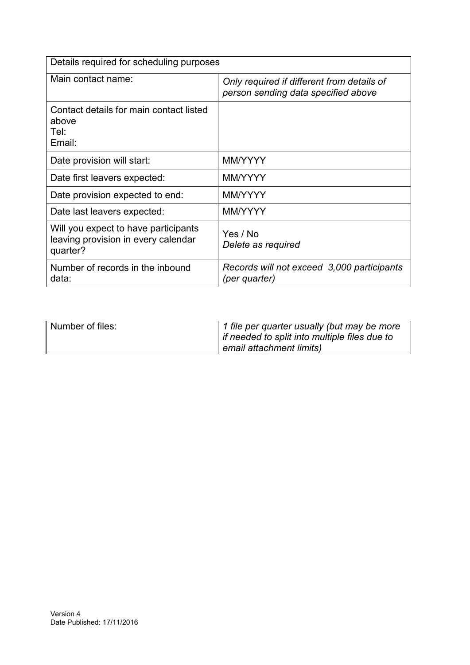| Details required for scheduling purposes                                                |                                                                                   |  |
|-----------------------------------------------------------------------------------------|-----------------------------------------------------------------------------------|--|
| Main contact name:                                                                      | Only required if different from details of<br>person sending data specified above |  |
| Contact details for main contact listed<br>above<br>Tel:<br>Email:                      |                                                                                   |  |
| Date provision will start:                                                              | MM/YYYY                                                                           |  |
| Date first leavers expected:                                                            | MM/YYYY                                                                           |  |
| Date provision expected to end:                                                         | MM/YYYY                                                                           |  |
| Date last leavers expected:                                                             | MM/YYYY                                                                           |  |
| Will you expect to have participants<br>leaving provision in every calendar<br>quarter? | Yes / No<br>Delete as required                                                    |  |
| Number of records in the inbound<br>data:                                               | Records will not exceed 3,000 participants<br>(per quarter)                       |  |

| Number of files: | 1 file per quarter usually (but may be more<br>if needed to split into multiple files due to<br>email attachment limits) |
|------------------|--------------------------------------------------------------------------------------------------------------------------|
|------------------|--------------------------------------------------------------------------------------------------------------------------|